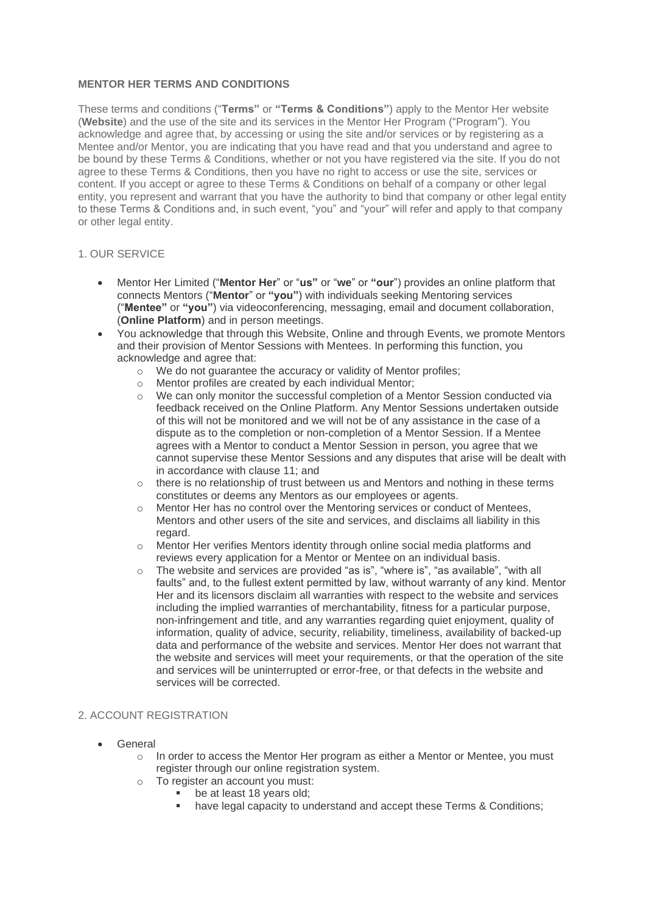# **MENTOR HER TERMS AND CONDITIONS**

These terms and conditions ("**Terms"** or **"Terms & Conditions"**) apply to the Mentor Her website (**Website**) and the use of the site and its services in the Mentor Her Program ("Program"). You acknowledge and agree that, by accessing or using the site and/or services or by registering as a Mentee and/or Mentor, you are indicating that you have read and that you understand and agree to be bound by these Terms & Conditions, whether or not you have registered via the site. If you do not agree to these Terms & Conditions, then you have no right to access or use the site, services or content. If you accept or agree to these Terms & Conditions on behalf of a company or other legal entity, you represent and warrant that you have the authority to bind that company or other legal entity to these Terms & Conditions and, in such event, "you" and "your" will refer and apply to that company or other legal entity.

## 1. OUR SERVICE

- Mentor Her Limited ("**Mentor Her**" or "**us"** or "**we**" or **"our**") provides an online platform that connects Mentors ("**Mentor**" or **"you"**) with individuals seeking Mentoring services ("**Mentee"** or **"you"**) via videoconferencing, messaging, email and document collaboration, (**Online Platform**) and in person meetings.
- You acknowledge that through this Website, Online and through Events, we promote Mentors and their provision of Mentor Sessions with Mentees. In performing this function, you acknowledge and agree that:
	- o We do not guarantee the accuracy or validity of Mentor profiles;
	- o Mentor profiles are created by each individual Mentor;
	- $\circ$  We can only monitor the successful completion of a Mentor Session conducted via feedback received on the Online Platform. Any Mentor Sessions undertaken outside of this will not be monitored and we will not be of any assistance in the case of a dispute as to the completion or non-completion of a Mentor Session. If a Mentee agrees with a Mentor to conduct a Mentor Session in person, you agree that we cannot supervise these Mentor Sessions and any disputes that arise will be dealt with in accordance with clause 11; and
	- $\circ$  there is no relationship of trust between us and Mentors and nothing in these terms constitutes or deems any Mentors as our employees or agents.
	- o Mentor Her has no control over the Mentoring services or conduct of Mentees, Mentors and other users of the site and services, and disclaims all liability in this regard.
	- o Mentor Her verifies Mentors identity through online social media platforms and reviews every application for a Mentor or Mentee on an individual basis.
	- o The website and services are provided "as is", "where is", "as available", "with all faults" and, to the fullest extent permitted by law, without warranty of any kind. Mentor Her and its licensors disclaim all warranties with respect to the website and services including the implied warranties of merchantability, fitness for a particular purpose, non-infringement and title, and any warranties regarding quiet enjoyment, quality of information, quality of advice, security, reliability, timeliness, availability of backed-up data and performance of the website and services. Mentor Her does not warrant that the website and services will meet your requirements, or that the operation of the site and services will be uninterrupted or error-free, or that defects in the website and services will be corrected.

# 2. ACCOUNT REGISTRATION

- General
	- $\circ$  In order to access the Mentor Her program as either a Mentor or Mentee, you must register through our online registration system.
	- o To register an account you must:
		- be at least 18 years old:
		- have legal capacity to understand and accept these Terms & Conditions;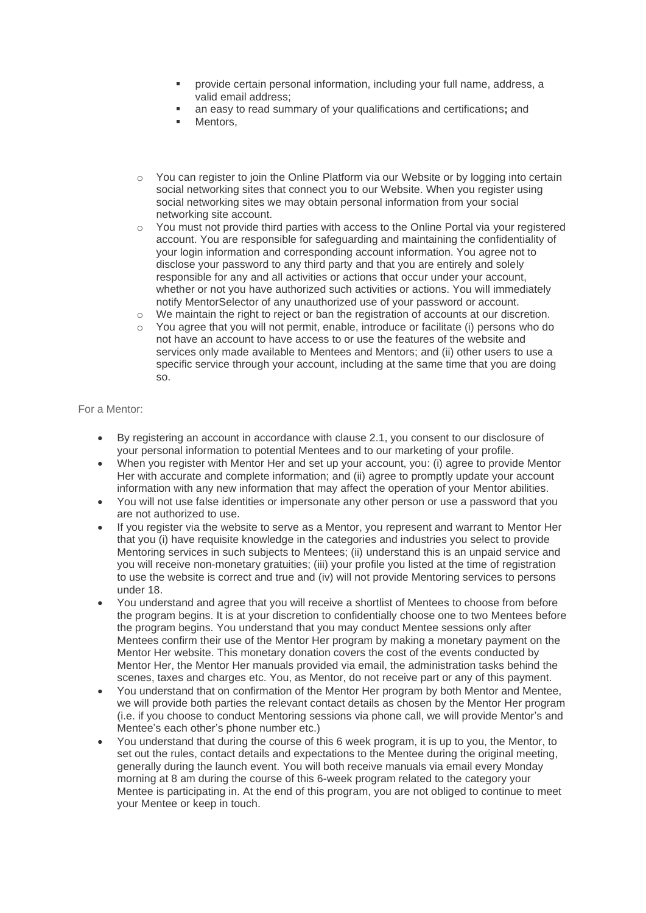- provide certain personal information, including your full name, address, a valid email address;
- an easy to read summary of your qualifications and certifications; and
- Mentors.
- o You can register to join the Online Platform via our Website or by logging into certain social networking sites that connect you to our Website. When you register using social networking sites we may obtain personal information from your social networking site account.
- o You must not provide third parties with access to the Online Portal via your registered account. You are responsible for safeguarding and maintaining the confidentiality of your login information and corresponding account information. You agree not to disclose your password to any third party and that you are entirely and solely responsible for any and all activities or actions that occur under your account, whether or not you have authorized such activities or actions. You will immediately notify MentorSelector of any unauthorized use of your password or account.
- o We maintain the right to reject or ban the registration of accounts at our discretion.
- $\circ$  You agree that you will not permit, enable, introduce or facilitate (i) persons who do not have an account to have access to or use the features of the website and services only made available to Mentees and Mentors; and (ii) other users to use a specific service through your account, including at the same time that you are doing so.

# For a Mentor:

- By registering an account in accordance with clause 2.1, you consent to our disclosure of your personal information to potential Mentees and to our marketing of your profile.
- When you register with Mentor Her and set up your account, you: (i) agree to provide Mentor Her with accurate and complete information; and (ii) agree to promptly update your account information with any new information that may affect the operation of your Mentor abilities.
- You will not use false identities or impersonate any other person or use a password that you are not authorized to use.
- If you register via the website to serve as a Mentor, you represent and warrant to Mentor Her that you (i) have requisite knowledge in the categories and industries you select to provide Mentoring services in such subjects to Mentees; (ii) understand this is an unpaid service and you will receive non-monetary gratuities; (iii) your profile you listed at the time of registration to use the website is correct and true and (iv) will not provide Mentoring services to persons under 18.
- You understand and agree that you will receive a shortlist of Mentees to choose from before the program begins. It is at your discretion to confidentially choose one to two Mentees before the program begins. You understand that you may conduct Mentee sessions only after Mentees confirm their use of the Mentor Her program by making a monetary payment on the Mentor Her website. This monetary donation covers the cost of the events conducted by Mentor Her, the Mentor Her manuals provided via email, the administration tasks behind the scenes, taxes and charges etc. You, as Mentor, do not receive part or any of this payment.
- You understand that on confirmation of the Mentor Her program by both Mentor and Mentee, we will provide both parties the relevant contact details as chosen by the Mentor Her program (i.e. if you choose to conduct Mentoring sessions via phone call, we will provide Mentor's and Mentee's each other's phone number etc.)
- You understand that during the course of this 6 week program, it is up to you, the Mentor, to set out the rules, contact details and expectations to the Mentee during the original meeting, generally during the launch event. You will both receive manuals via email every Monday morning at 8 am during the course of this 6-week program related to the category your Mentee is participating in. At the end of this program, you are not obliged to continue to meet your Mentee or keep in touch.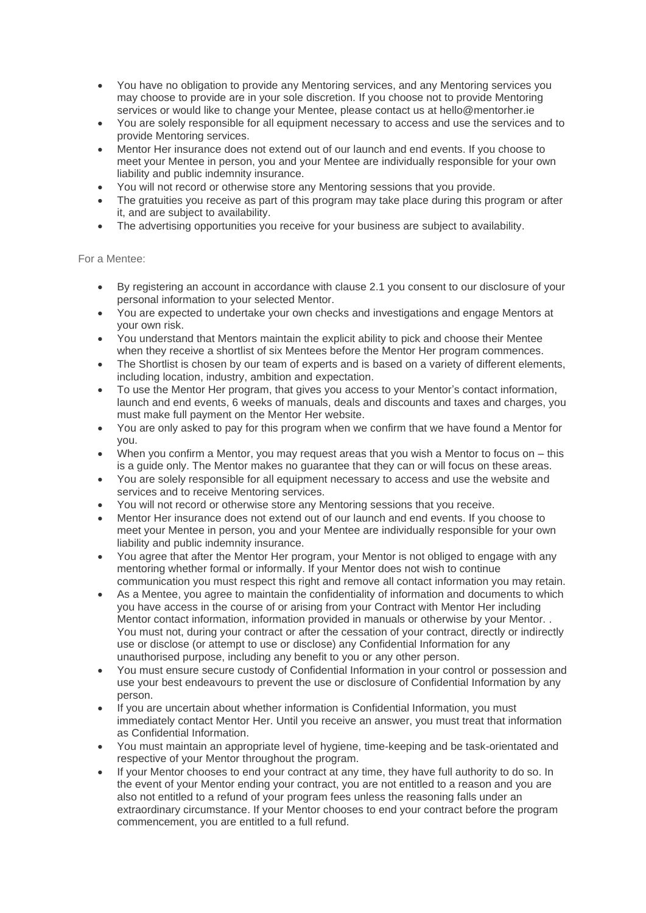- You have no obligation to provide any Mentoring services, and any Mentoring services you may choose to provide are in your sole discretion. If you choose not to provide Mentoring services or would like to change your Mentee, please contact us at hello@mentorher.ie
- You are solely responsible for all equipment necessary to access and use the services and to provide Mentoring services.
- Mentor Her insurance does not extend out of our launch and end events. If you choose to meet your Mentee in person, you and your Mentee are individually responsible for your own liability and public indemnity insurance.
- You will not record or otherwise store any Mentoring sessions that you provide.
- The gratuities you receive as part of this program may take place during this program or after it, and are subject to availability.
- The advertising opportunities you receive for your business are subject to availability.

For a Mentee:

- By registering an account in accordance with clause 2.1 you consent to our disclosure of your personal information to your selected Mentor.
- You are expected to undertake your own checks and investigations and engage Mentors at your own risk.
- You understand that Mentors maintain the explicit ability to pick and choose their Mentee when they receive a shortlist of six Mentees before the Mentor Her program commences.
- The Shortlist is chosen by our team of experts and is based on a variety of different elements, including location, industry, ambition and expectation.
- To use the Mentor Her program, that gives you access to your Mentor's contact information, launch and end events, 6 weeks of manuals, deals and discounts and taxes and charges, you must make full payment on the Mentor Her website.
- You are only asked to pay for this program when we confirm that we have found a Mentor for you.
- When you confirm a Mentor, you may request areas that you wish a Mentor to focus on  $-$  this is a guide only. The Mentor makes no guarantee that they can or will focus on these areas.
- You are solely responsible for all equipment necessary to access and use the website and services and to receive Mentoring services.
- You will not record or otherwise store any Mentoring sessions that you receive.
- Mentor Her insurance does not extend out of our launch and end events. If you choose to meet your Mentee in person, you and your Mentee are individually responsible for your own liability and public indemnity insurance.
- You agree that after the Mentor Her program, your Mentor is not obliged to engage with any mentoring whether formal or informally. If your Mentor does not wish to continue communication you must respect this right and remove all contact information you may retain.
- As a Mentee, you agree to maintain the confidentiality of information and documents to which you have access in the course of or arising from your Contract with Mentor Her including Mentor contact information, information provided in manuals or otherwise by your Mentor. . You must not, during your contract or after the cessation of your contract, directly or indirectly use or disclose (or attempt to use or disclose) any Confidential Information for any unauthorised purpose, including any benefit to you or any other person.
- You must ensure secure custody of Confidential Information in your control or possession and use your best endeavours to prevent the use or disclosure of Confidential Information by any person.
- If you are uncertain about whether information is Confidential Information, you must immediately contact Mentor Her. Until you receive an answer, you must treat that information as Confidential Information.
- You must maintain an appropriate level of hygiene, time-keeping and be task-orientated and respective of your Mentor throughout the program.
- If your Mentor chooses to end your contract at any time, they have full authority to do so. In the event of your Mentor ending your contract, you are not entitled to a reason and you are also not entitled to a refund of your program fees unless the reasoning falls under an extraordinary circumstance. If your Mentor chooses to end your contract before the program commencement, you are entitled to a full refund.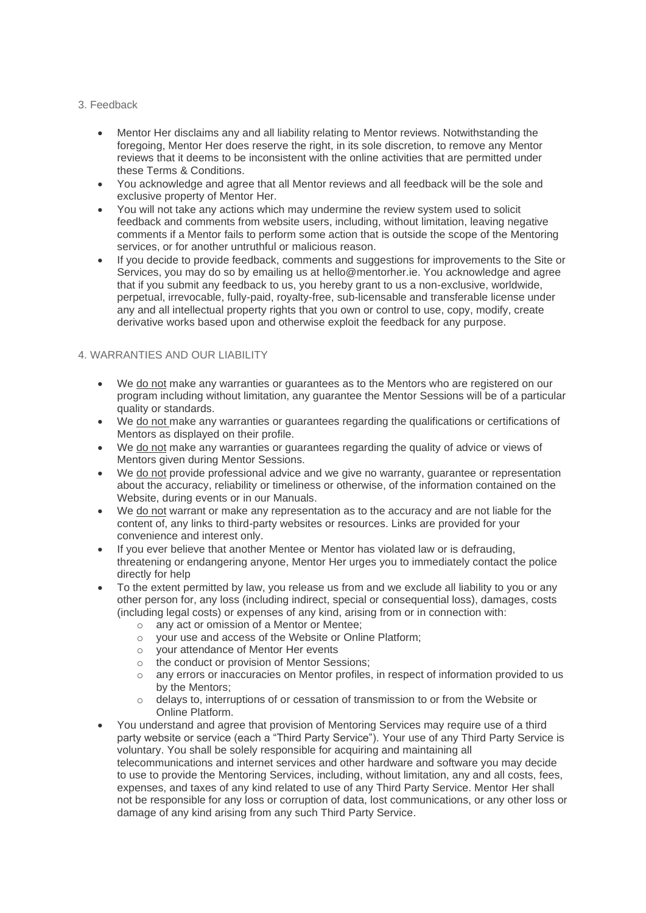#### 3. Feedback

- Mentor Her disclaims any and all liability relating to Mentor reviews. Notwithstanding the foregoing, Mentor Her does reserve the right, in its sole discretion, to remove any Mentor reviews that it deems to be inconsistent with the online activities that are permitted under these Terms & Conditions.
- You acknowledge and agree that all Mentor reviews and all feedback will be the sole and exclusive property of Mentor Her.
- You will not take any actions which may undermine the review system used to solicit feedback and comments from website users, including, without limitation, leaving negative comments if a Mentor fails to perform some action that is outside the scope of the Mentoring services, or for another untruthful or malicious reason.
- If you decide to provide feedback, comments and suggestions for improvements to the Site or Services, you may do so by emailing us at hello@mentorher.ie. You acknowledge and agree that if you submit any feedback to us, you hereby grant to us a non-exclusive, worldwide, perpetual, irrevocable, fully-paid, royalty-free, sub-licensable and transferable license under any and all intellectual property rights that you own or control to use, copy, modify, create derivative works based upon and otherwise exploit the feedback for any purpose.

# 4. WARRANTIES AND OUR LIABILITY

- We do not make any warranties or guarantees as to the Mentors who are registered on our program including without limitation, any guarantee the Mentor Sessions will be of a particular quality or standards.
- We do not make any warranties or guarantees regarding the qualifications or certifications of Mentors as displayed on their profile.
- We do not make any warranties or guarantees regarding the quality of advice or views of Mentors given during Mentor Sessions.
- We do not provide professional advice and we give no warranty, guarantee or representation about the accuracy, reliability or timeliness or otherwise, of the information contained on the Website, during events or in our Manuals.
- We do not warrant or make any representation as to the accuracy and are not liable for the content of, any links to third-party websites or resources. Links are provided for your convenience and interest only.
- If you ever believe that another Mentee or Mentor has violated law or is defrauding, threatening or endangering anyone, Mentor Her urges you to immediately contact the police directly for help
- To the extent permitted by law, you release us from and we exclude all liability to you or any other person for, any loss (including indirect, special or consequential loss), damages, costs (including legal costs) or expenses of any kind, arising from or in connection with:
	- o any act or omission of a Mentor or Mentee;
	- o your use and access of the Website or Online Platform;
	- o your attendance of Mentor Her events
	- o the conduct or provision of Mentor Sessions;
	- o any errors or inaccuracies on Mentor profiles, in respect of information provided to us by the Mentors;
	- o delays to, interruptions of or cessation of transmission to or from the Website or Online Platform.
- You understand and agree that provision of Mentoring Services may require use of a third party website or service (each a "Third Party Service"). Your use of any Third Party Service is voluntary. You shall be solely responsible for acquiring and maintaining all telecommunications and internet services and other hardware and software you may decide to use to provide the Mentoring Services, including, without limitation, any and all costs, fees, expenses, and taxes of any kind related to use of any Third Party Service. Mentor Her shall not be responsible for any loss or corruption of data, lost communications, or any other loss or damage of any kind arising from any such Third Party Service.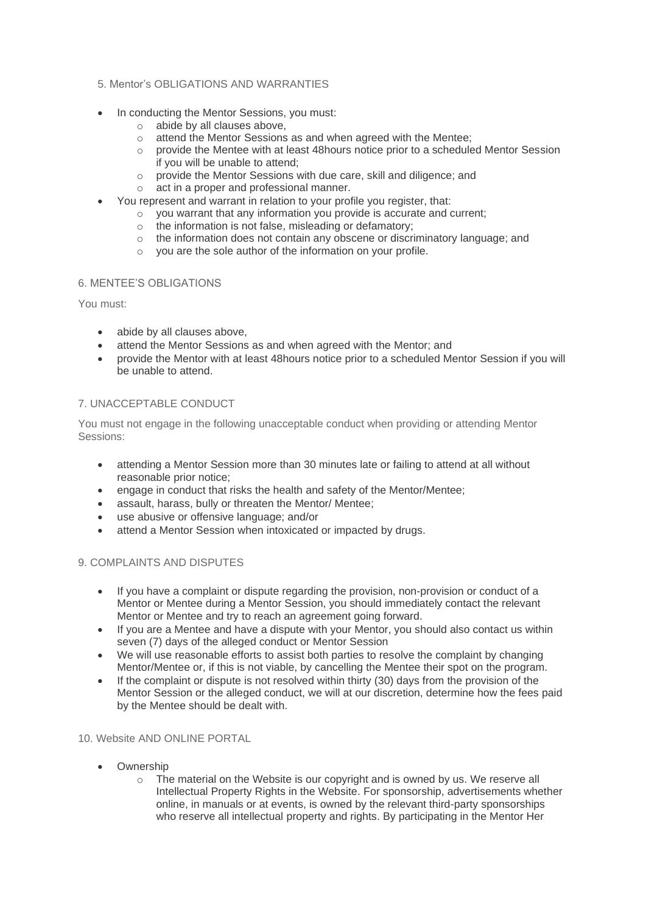### 5. Mentor's OBLIGATIONS AND WARRANTIES

- In conducting the Mentor Sessions, you must:
	- o abide by all clauses above,
	- o attend the Mentor Sessions as and when agreed with the Mentee;
	- $\circ$  provide the Mentee with at least 48 hours notice prior to a scheduled Mentor Session if you will be unable to attend;
	- o provide the Mentor Sessions with due care, skill and diligence; and
	- $\circ$  act in a proper and professional manner.
	- You represent and warrant in relation to your profile you register, that:
		- o you warrant that any information you provide is accurate and current;
		- o the information is not false, misleading or defamatory;
		- o the information does not contain any obscene or discriminatory language; and
		- o you are the sole author of the information on your profile.

#### 6. MENTEE'S OBLIGATIONS

You must:

- abide by all clauses above,
- attend the Mentor Sessions as and when agreed with the Mentor; and
- provide the Mentor with at least 48hours notice prior to a scheduled Mentor Session if you will be unable to attend.

# 7. UNACCEPTABLE CONDUCT

You must not engage in the following unacceptable conduct when providing or attending Mentor Sessions:

- attending a Mentor Session more than 30 minutes late or failing to attend at all without reasonable prior notice;
- engage in conduct that risks the health and safety of the Mentor/Mentee;
- assault, harass, bully or threaten the Mentor/ Mentee;
- use abusive or offensive language; and/or
- attend a Mentor Session when intoxicated or impacted by drugs.

# 9. COMPLAINTS AND DISPUTES

- If you have a complaint or dispute regarding the provision, non-provision or conduct of a Mentor or Mentee during a Mentor Session, you should immediately contact the relevant Mentor or Mentee and try to reach an agreement going forward.
- If you are a Mentee and have a dispute with your Mentor, you should also contact us within seven (7) days of the alleged conduct or Mentor Session
- We will use reasonable efforts to assist both parties to resolve the complaint by changing Mentor/Mentee or, if this is not viable, by cancelling the Mentee their spot on the program.
- If the complaint or dispute is not resolved within thirty (30) days from the provision of the Mentor Session or the alleged conduct, we will at our discretion, determine how the fees paid by the Mentee should be dealt with.

## 10. Website AND ONLINE PORTAL

- Ownership
	- $\circ$  The material on the Website is our copyright and is owned by us. We reserve all Intellectual Property Rights in the Website. For sponsorship, advertisements whether online, in manuals or at events, is owned by the relevant third-party sponsorships who reserve all intellectual property and rights. By participating in the Mentor Her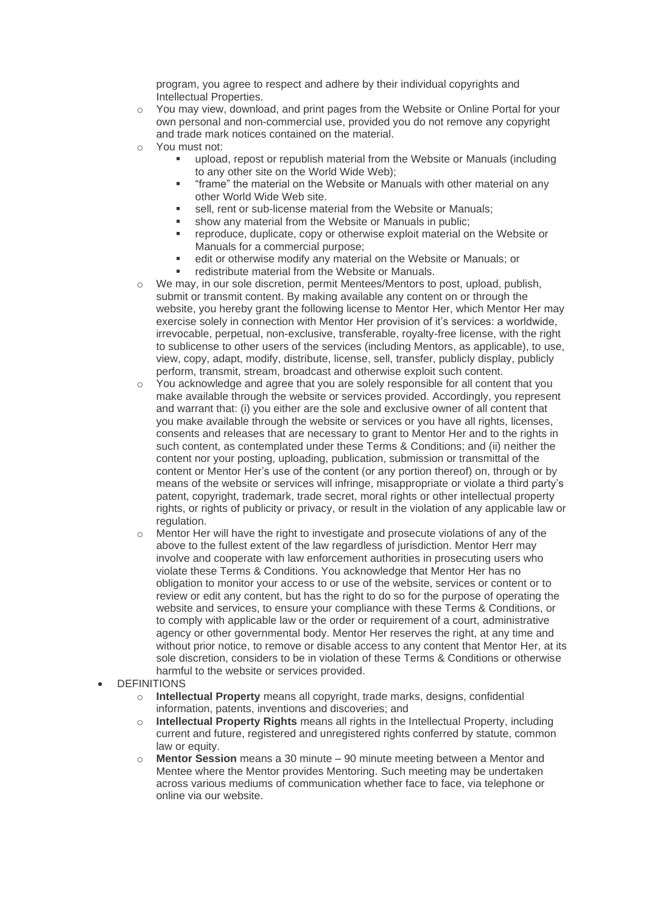program, you agree to respect and adhere by their individual copyrights and Intellectual Properties.

- o You may view, download, and print pages from the Website or Online Portal for your own personal and non-commercial use, provided you do not remove any copyright and trade mark notices contained on the material.
- o You must not:
	- upload, repost or republish material from the Website or Manuals (including to any other site on the World Wide Web);
	- **•** "frame" the material on the Website or Manuals with other material on any other World Wide Web site.
	- sell, rent or sub-license material from the Website or Manuals;
	- show any material from the Website or Manuals in public:
	- reproduce, duplicate, copy or otherwise exploit material on the Website or Manuals for a commercial purpose;
	- edit or otherwise modify any material on the Website or Manuals; or
	- redistribute material from the Website or Manuals.
- $\circ$  We may, in our sole discretion, permit Mentees/Mentors to post, upload, publish, submit or transmit content. By making available any content on or through the website, you hereby grant the following license to Mentor Her, which Mentor Her may exercise solely in connection with Mentor Her provision of it's services: a worldwide, irrevocable, perpetual, non-exclusive, transferable, royalty-free license, with the right to sublicense to other users of the services (including Mentors, as applicable), to use, view, copy, adapt, modify, distribute, license, sell, transfer, publicly display, publicly perform, transmit, stream, broadcast and otherwise exploit such content.
- $\circ$  You acknowledge and agree that you are solely responsible for all content that you make available through the website or services provided. Accordingly, you represent and warrant that: (i) you either are the sole and exclusive owner of all content that you make available through the website or services or you have all rights, licenses, consents and releases that are necessary to grant to Mentor Her and to the rights in such content, as contemplated under these Terms & Conditions; and (ii) neither the content nor your posting, uploading, publication, submission or transmittal of the content or Mentor Her's use of the content (or any portion thereof) on, through or by means of the website or services will infringe, misappropriate or violate a third party's patent, copyright, trademark, trade secret, moral rights or other intellectual property rights, or rights of publicity or privacy, or result in the violation of any applicable law or regulation.
- $\circ$  Mentor Her will have the right to investigate and prosecute violations of any of the above to the fullest extent of the law regardless of jurisdiction. Mentor Herr may involve and cooperate with law enforcement authorities in prosecuting users who violate these Terms & Conditions. You acknowledge that Mentor Her has no obligation to monitor your access to or use of the website, services or content or to review or edit any content, but has the right to do so for the purpose of operating the website and services, to ensure your compliance with these Terms & Conditions, or to comply with applicable law or the order or requirement of a court, administrative agency or other governmental body. Mentor Her reserves the right, at any time and without prior notice, to remove or disable access to any content that Mentor Her, at its sole discretion, considers to be in violation of these Terms & Conditions or otherwise harmful to the website or services provided.
- **DEFINITIONS** 
	- o **Intellectual Property** means all copyright, trade marks, designs, confidential information, patents, inventions and discoveries; and
	- o **Intellectual Property Rights** means all rights in the Intellectual Property, including current and future, registered and unregistered rights conferred by statute, common law or equity.
	- o **Mentor Session** means a 30 minute 90 minute meeting between a Mentor and Mentee where the Mentor provides Mentoring. Such meeting may be undertaken across various mediums of communication whether face to face, via telephone or online via our website.